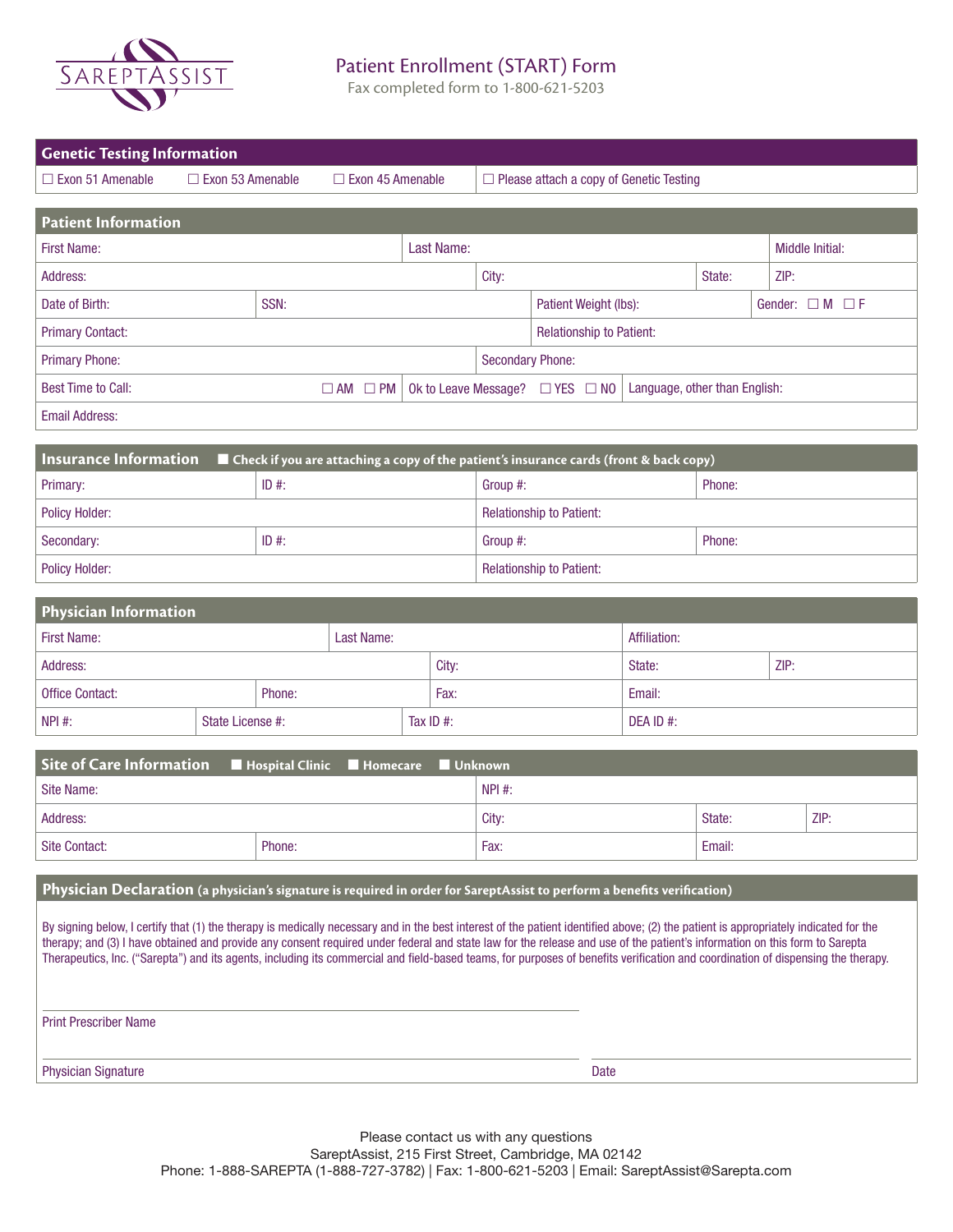

## Patient Enrollment (START) Form

Fax completed form to 1-800-621-5203

| <b>Genetic Testing Information</b>                                                                                                                                                                                                                                                                                                                                                                                                                                                                                                                     |                                                                                                                                     |      |                                                |                          |                          |           |        |      |                         |  |
|--------------------------------------------------------------------------------------------------------------------------------------------------------------------------------------------------------------------------------------------------------------------------------------------------------------------------------------------------------------------------------------------------------------------------------------------------------------------------------------------------------------------------------------------------------|-------------------------------------------------------------------------------------------------------------------------------------|------|------------------------------------------------|--------------------------|--------------------------|-----------|--------|------|-------------------------|--|
| $\Box$ Exon 51 Amenable                                                                                                                                                                                                                                                                                                                                                                                                                                                                                                                                | $\Box$ Exon 53 Amenable<br>$\Box$ Exon 45 Amenable                                                                                  |      | $\Box$ Please attach a copy of Genetic Testing |                          |                          |           |        |      |                         |  |
| <b>Patient Information</b>                                                                                                                                                                                                                                                                                                                                                                                                                                                                                                                             |                                                                                                                                     |      |                                                |                          |                          |           |        |      |                         |  |
| <b>First Name:</b>                                                                                                                                                                                                                                                                                                                                                                                                                                                                                                                                     | Last Name:                                                                                                                          |      |                                                |                          |                          |           |        |      | <b>Middle Initial:</b>  |  |
| Address:                                                                                                                                                                                                                                                                                                                                                                                                                                                                                                                                               |                                                                                                                                     |      |                                                | City:                    |                          |           | State: | ZIP: |                         |  |
| Date of Birth:                                                                                                                                                                                                                                                                                                                                                                                                                                                                                                                                         | SSN:                                                                                                                                |      |                                                |                          | Patient Weight (lbs):    |           |        |      | Gender: $\Box M \Box F$ |  |
| <b>Primary Contact:</b>                                                                                                                                                                                                                                                                                                                                                                                                                                                                                                                                |                                                                                                                                     |      |                                                |                          | Relationship to Patient: |           |        |      |                         |  |
| <b>Primary Phone:</b>                                                                                                                                                                                                                                                                                                                                                                                                                                                                                                                                  |                                                                                                                                     |      |                                                |                          | <b>Secondary Phone:</b>  |           |        |      |                         |  |
| <b>Best Time to Call:</b>                                                                                                                                                                                                                                                                                                                                                                                                                                                                                                                              | Ok to Leave Message? □ YES □ NO<br>$\Box$ AM $\Box$ PM<br>Language, other than English:                                             |      |                                                |                          |                          |           |        |      |                         |  |
| <b>Email Address:</b>                                                                                                                                                                                                                                                                                                                                                                                                                                                                                                                                  |                                                                                                                                     |      |                                                |                          |                          |           |        |      |                         |  |
|                                                                                                                                                                                                                                                                                                                                                                                                                                                                                                                                                        |                                                                                                                                     |      |                                                |                          |                          |           |        |      |                         |  |
| Primary:                                                                                                                                                                                                                                                                                                                                                                                                                                                                                                                                               | <b>Insurance Information</b><br>■ Check if you are attaching a copy of the patient's insurance cards (front & back copy)<br>$ID$ #: |      |                                                | Group #:                 | Phone:                   |           |        |      |                         |  |
| <b>Policy Holder:</b>                                                                                                                                                                                                                                                                                                                                                                                                                                                                                                                                  |                                                                                                                                     |      |                                                | Relationship to Patient: |                          |           |        |      |                         |  |
| Secondary:                                                                                                                                                                                                                                                                                                                                                                                                                                                                                                                                             | $ID$ #:                                                                                                                             |      |                                                |                          | Group #:<br>Phone:       |           |        |      |                         |  |
| <b>Policy Holder:</b>                                                                                                                                                                                                                                                                                                                                                                                                                                                                                                                                  |                                                                                                                                     |      |                                                |                          |                          |           |        |      |                         |  |
| Relationship to Patient:                                                                                                                                                                                                                                                                                                                                                                                                                                                                                                                               |                                                                                                                                     |      |                                                |                          |                          |           |        |      |                         |  |
| <b>Physician Information</b>                                                                                                                                                                                                                                                                                                                                                                                                                                                                                                                           |                                                                                                                                     |      |                                                |                          |                          |           |        |      |                         |  |
| <b>First Name:</b>                                                                                                                                                                                                                                                                                                                                                                                                                                                                                                                                     | Last Name:                                                                                                                          |      |                                                | Affiliation:             |                          |           |        |      |                         |  |
| Address:                                                                                                                                                                                                                                                                                                                                                                                                                                                                                                                                               |                                                                                                                                     |      | City:                                          |                          |                          |           | State: |      | ZIP:                    |  |
| <b>Office Contact:</b>                                                                                                                                                                                                                                                                                                                                                                                                                                                                                                                                 | Phone:                                                                                                                              | Fax: |                                                |                          | Email:                   |           |        |      |                         |  |
| NPI #:                                                                                                                                                                                                                                                                                                                                                                                                                                                                                                                                                 | State License #:                                                                                                                    |      | Tax ID #:                                      |                          |                          | DEA ID #: |        |      |                         |  |
| <b>Site of Care Information</b><br>Hospital Clinic<br>Unknown<br><b>Homecare</b>                                                                                                                                                                                                                                                                                                                                                                                                                                                                       |                                                                                                                                     |      |                                                |                          |                          |           |        |      |                         |  |
| <b>Site Name:</b>                                                                                                                                                                                                                                                                                                                                                                                                                                                                                                                                      |                                                                                                                                     |      |                                                | NPI #:                   |                          |           |        |      |                         |  |
| Address:                                                                                                                                                                                                                                                                                                                                                                                                                                                                                                                                               |                                                                                                                                     |      |                                                |                          | City:                    |           | State: |      | ZIP:                    |  |
| Site Contact:                                                                                                                                                                                                                                                                                                                                                                                                                                                                                                                                          | Phone:                                                                                                                              |      | Fax:                                           |                          |                          |           | Email: |      |                         |  |
|                                                                                                                                                                                                                                                                                                                                                                                                                                                                                                                                                        |                                                                                                                                     |      |                                                |                          |                          |           |        |      |                         |  |
| Physician Declaration (a physician's signature is required in order for SareptAssist to perform a benefits verification)                                                                                                                                                                                                                                                                                                                                                                                                                               |                                                                                                                                     |      |                                                |                          |                          |           |        |      |                         |  |
| By signing below, I certify that (1) the therapy is medically necessary and in the best interest of the patient identified above; (2) the patient is appropriately indicated for the<br>therapy; and (3) I have obtained and provide any consent required under federal and state law for the release and use of the patient's information on this form to Sarepta<br>Therapeutics, Inc. ("Sarepta") and its agents, including its commercial and field-based teams, for purposes of benefits verification and coordination of dispensing the therapy. |                                                                                                                                     |      |                                                |                          |                          |           |        |      |                         |  |
| <b>Print Prescriber Name</b>                                                                                                                                                                                                                                                                                                                                                                                                                                                                                                                           |                                                                                                                                     |      |                                                |                          |                          |           |        |      |                         |  |
| <b>Physician Signature</b>                                                                                                                                                                                                                                                                                                                                                                                                                                                                                                                             |                                                                                                                                     |      |                                                |                          |                          | Date      |        |      |                         |  |

Please contact us with any questions SareptAssist, 215 First Street, Cambridge, MA 02142 Phone: 1-888-SAREPTA (1-888-727-3782) | Fax: 1-800-621-5203 | Email: SareptAssist@Sarepta.com